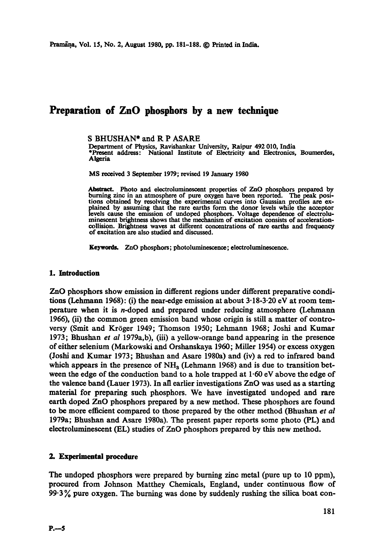# **Preparation of ZnO phosphors by a new technique**

S BHUSHAN\* and R P ASARE

Department of Physics, Ravishankar University, Raipur 492 010, India \*Present address: National Institute of Electricity and Electronics, Boumordes, Algeria

MS received 3 September 1979; revised 19 January 1980

.Abstract. Photo and electroluminescent properties of ZnO phosphors prepared by burning zinc in an atmosphere of pure oxygen have been reported. The peak positions obtained by resolving the experimental curves into Ganssian profiles are ex-plained by assuming that the rare earths form the donor levels while the accepter levels cause the emission of undoped phosphors. Voltage dependence of electroluminescent brightness shows that the mechanism of excitation consists of accelerationcollision. Brightness waves at different concentrations of rare earths and frequency of excitation are also studied and discussed.

Keywords. ZnO phosphors; photoluminescence; electroluminescence.

## **I. Introduction**

ZnO phosphors show emission in different regions under different preparative conditions (Lehmann 1968): (i) the near-edge emission at about  $3.18-3.20$  eV at room temperature when it is n-doped and prepared under reducing atmosphere (Lehmann 1966), (ii) the common green emission band whose origin is still a matter of controversy (Smit and Kr6ger 1949; Thomson 1950; Lehmann 1968; Joshi and Kumar 1973; Bhushan *et al* 1979a,b), (iii) a yellow-orange band appearing in the presence of either selenium (Markowski and Orshanskaya 1960; Miller 1954) or excess oxygen (Joshi and Kumar 1973; Bhushan and Asare 1980a) and (iv) a red to infrared band which appears in the presence of  $NH<sub>a</sub>$  (Lehmann 1968) and is due to transition between the edge of the conduction band to a hole trapped at  $1.60 \text{ eV}$  above the edge of the valence band (Lauer 1973). In all earlier investigations  $ZnO$  was used as a starting material for preparing such phosphors. We have investigated undoped and rare earth doped ZnO phosphors prepared by a new method. These phosphors are found to be more efficient compared to those prepared by the other method (Bhushan *et al*  1979a; Bhushan and Asare 1980a). The present paper reports some photo (PL) and electroluminescent (EL) studies of ZnO phosphors prepared by this new method.

# 2. Experimental procedure

The undoped phosphors were prepared by burning zinc metal (pure up to 10 ppm), procured from Johnson Matthey Chemicals, England, under continuous flow of  $99.3\%$  pure oxygen. The burning was done by suddenly rushing the silica boat con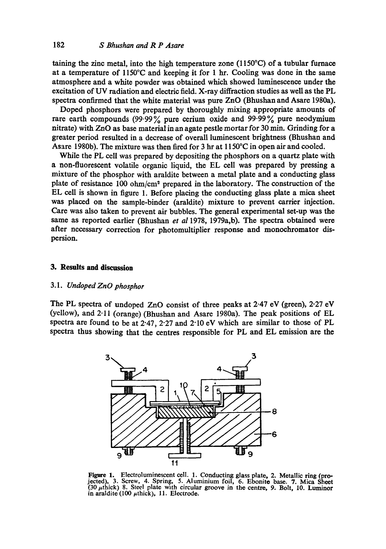taining the zinc metal, into the high temperature zone  $(1150^{\circ}C)$  of a tubular furnace at a temperature of 1150°C and keeping it for 1 hr. Cooling was done in the same atmosphere and a white powder was obtained which showed luminescence under the excitation of UV radiation and electric field. X-ray diffraction studies as well as the PL spectra confirmed that the white material was pure ZnO (Bhushan and Asare 1980a).

Doped phosphors were prepared by thoroughly mixing appropriate amounts of rare earth compounds  $(99.99\%$  pure cerium oxide and  $99.99\%$  pure neodymium nitrate) with ZnO as base material in an agate pestle mortar for 30 min. Grinding for a greater period resulted in a decrease of overall luminescent brightness (Bhushan and Asare 1980b). The mixture was then fired for 3 hr at 1150°C in open air and cooled.

While the PL cell was prepared by depositing the phosphors on a quartz plate with a non-fluorescent volatile organic liquid, the EL cell was prepared by pressing a mixture of the phosphor with araldite between a metal plate and a conducting glass plate of resistance  $100 \text{ ohm/cm}^2$  prepared in the laboratory. The construction of the EL cell is shown in figure 1. Before placing the conducting glass plate a mica sheet was placed on the sample-binder (araldite) mixture to prevent carrier injection. Care was also taken to prevent air bubbles. The general experimental set-up was the same as reported earlier (Bhushan *et a11978,* 1979a,b). The spectra obtained were after necessary correction for photomultiplier response and monochromator dispersion.

#### **3. Results and discussion**

#### 3.1. *Undoped ZnO phosphor*

The PL spectra of undoped ZnO consist of three peaks at 2.47 eV (green), 2-27 eV (yellow), and 2.11 (orange) (Bhushan and Asare 1980a). The peak positions of EL spectra are found to be at 2.47, 2.27 and 2.10 eV which are similar to those of PL spectra thus showing that the centres responsible for PL and EL emission are the



Figure 1. Electroluminescent cell. l. Conducting glass plate, 2. Metallic ring (projected), 3. Screw, 4. Spring, 5. Aluminium foil, 6. Ebonite base. 7. Mica Sheet  $(30 \mu \text{thick})$  8. Steel plate with circular groove in the centre, 9. Bolt, 10. Luminor in araldite (100  $\mu$ thick), 11. Electrode.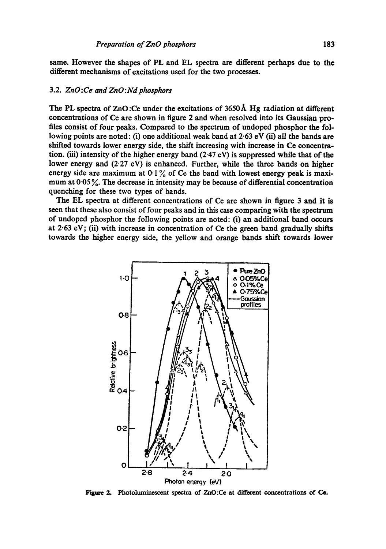same. However the shapes of PL and EL spectra are different perhaps due to the different mechanisms of excitations used for the two processes.

#### 3.2. *ZnO:Ce and ZnO:Nd phosphors*

The PL spectra of ZnO :Ce under the excitations of 3650A Hg radiation at different concentrations of Ce are shown in figure 2 and when resolved into its Gaussian profiles consist of four peaks. Compared to the spectrum of undoped phosphor the following points are noted: (i) one additional weak band at  $2.63$  eV (ii) all the bands are shifted towards lower energy side, the shift increasing with increase in Ce concentration. (iii) intensity of the higher energy band  $(2.47 \text{ eV})$  is suppressed while that of the lower energy and (2.27 eV) is enhanced. Further, while the three bands on higher energy side are maximum at  $0.1\%$  of Ce the band with lowest energy peak is maximum at  $0.05\%$ . The decrease in intensity may be because of differential concentration quenching for these two types of bands.

The EL spectra at different concentrations of Ce are shown in figure 3 and it is seen that these also consist of four peaks and in this case comparing with the spectrum of undoped phosphor the following points are noted: (i) an additional band occurs at 2.63 eV; (ii) with increase in concentration of Ce the green band gradually shifts towards the higher energy side, the yellow and orange bands shift towards lower



Figure 2. Photoluminescent spectra of ZnO:Ce at different concentrations of Ce.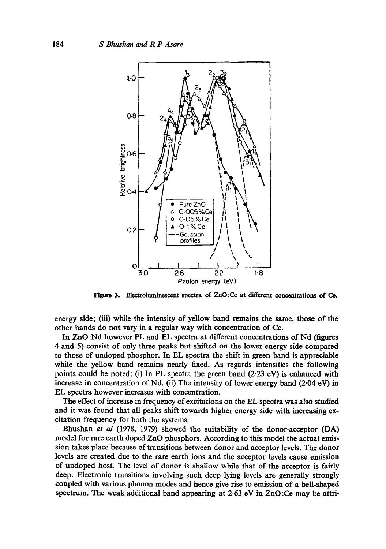

Figure 3. Electroluminescent spectra of ZnO:Ce at different concentrations of Ce.

energy side; (iii) while the intensity of yellow band remains the same, those of the other bands do not vary in a regular way with concentration of Ce.

In ZnO :Nd however PL and EL spectra at different concentrations of Nd (figures 4 and 5) consist of only three peaks but shifted on the lower energy side compared to those of undoped phosphor. In EL spectra the shift in green band is appreciable while the yellow band remains nearly fixed. As regards intensities the following points could be noted: (i) In PL spectra the green band  $(2.23 \text{ eV})$  is enhanced with increase in concentration of Nd. (ii) The intensity of lower energy band (2-04 eV) in EL spectra however increases with concentration.

The effect of increase in frequency of excitations on the EL spectra was also studied and it was found that all peaks shift towards higher energy side with increasing excitation frequency for both the systems.

Bhushan *et al* (1978, 1979) showed the suitability of the donor-acceptor (DA) model for rare earth doped ZnO phosphors. According to this model the actual emission takes place because of transitions between donor and acceptor levels. The donor levels are created due to the rare earth ions and the acceptor levels cause emission of undoped host. The level of donor is shallow while that of the aeceptor is fairly deep. Electronic transitions involving such deep lying levels are generally strongly coupled with various phonon modes and hence give rise to emission of a bell-shaped spectrum. The weak additional band appearing at 2-63 eV in ZnO :Ce may be attri-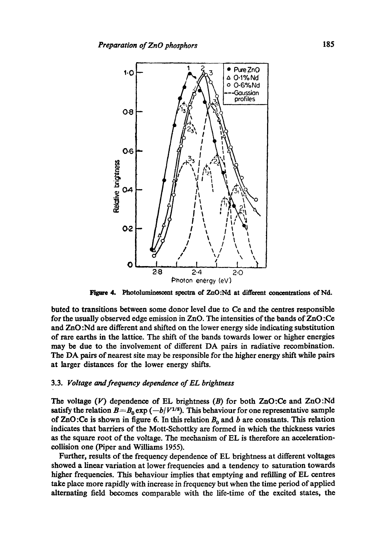

Figure 4. Photoluminescent spectra of ZnO:Nd at different concentrations of Nd.

buted to transitions between some donor level due to Ce and the centres responsible for the usually observed edge emission in ZnO. The intensities of the bands of ZnO:Ce and ZnO :Nd are different and shifted on the lower energy side indicating substitution of rare earths in the lattice. The shift of the bands towards lower or higher energies may be due to the involvement of different DA pairs in radiative recombination. The DA pairs of nearest site may be responsible for the higher energy shift while pairs at larger distances for the lower energy shifts.

#### 3.3. *Voltage and frequency dependence of EL brightness*

The voltage  $(V)$  dependence of EL brightness  $(B)$  for both ZnO:Ce and ZnO:Nd satisfy the relation  $B = B_0 \exp(-b/V^{1/2})$ . This behaviour for one representative sample of ZnO:Ce is shown in figure 6. In this relation  $B_0$  and b are constants. This relation indicates that barriers of the Mott-Schottky are formed in which the thickness varies as the square root of the voltage. The mechanism of EL is therefore an accelerationcollision one (Piper and Williams 1955).

Further, results of the frequency dependence of EL brightness at different voltages showed a linear variation at lower frequencies and a tendency to saturation towards higher frequencies. This behaviour implies that emptying and refilling of EL centres take place more rapidly with increase in frequency but when the time period of applied alternating field becomes comparable with the life-time of the excited states, the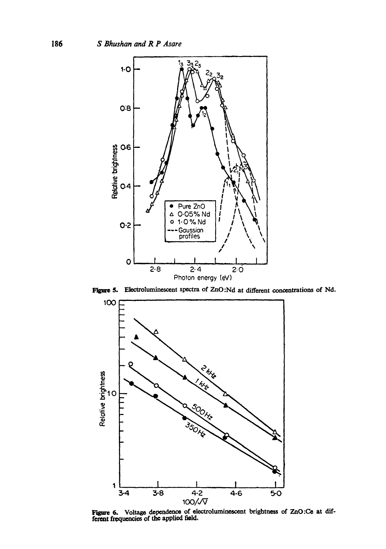

Figure 5. Electroluminescent spectra of ZnO:Nd at different concentrations of Nd.



Figure 6. Voltage dependence of electroluminescent brightness of ZnO:Ce at different frequencies of the applied field.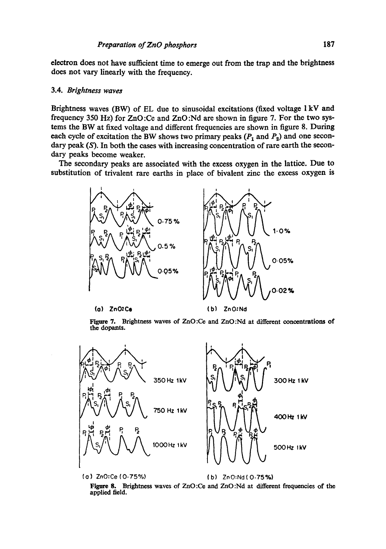**electron does not have sufficient time to emerge out from the trap and the brightness does not vary linearly with the frequency.** 

#### **3.4.** *Brightness waves*

**Brightness waves (BW) of EL due to sinusoidal excitations (fixed voltage I kV and frequency 350 Hz) for ZnO :Ce and ZnO :Nd are shown in figure 7. For the two systems the BW at fixed voltage and different frequencies are shown in figure 8. During**  each cycle of excitation the BW shows two primary peaks  $(P_1 \text{ and } P_2)$  and one secondary peak (S). In both the cases with increasing concentration of rare earth the secon**dary peaks become weaker.** 

**The secondary peaks are associated with the excess oxygen in the lattice. Due to substitution of trivalent rare earths in place of bivalent zinc the excess oxygen is** 



**(0) ZnOtCe (b) ZnO.'Nd** 

Figure 7. Brightness waves of ZnO:Ce and ZnO:Nd at different concentrations of **the dopants.** 



Figure 8. Brightness waves of ZnO:Ce and ZnO:Nd at different frequencies of the **applied field.**